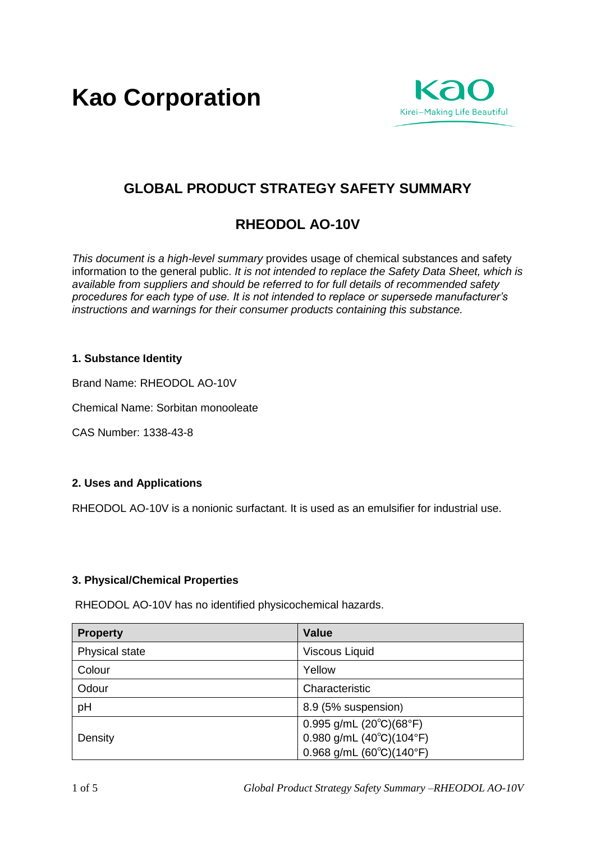**Kao Corporation**



# **GLOBAL PRODUCT STRATEGY SAFETY SUMMARY**

# **RHEODOL AO-10V**

*This document is a high-level summary* provides usage of chemical substances and safety information to the general public. *It is not intended to replace the Safety Data Sheet, which is available from suppliers and should be referred to for full details of recommended safety procedures for each type of use. It is not intended to replace or supersede manufacturer's instructions and warnings for their consumer products containing this substance.* 

## **1. Substance Identity**

Brand Name: RHEODOL AO-10V

Chemical Name: Sorbitan monooleate

CAS Number: 1338-43-8

## **2. Uses and Applications**

RHEODOL AO-10V is a nonionic surfactant. It is used as an emulsifier for industrial use.

## **3. Physical/Chemical Properties**

RHEODOL AO-10V has no identified physicochemical hazards.

| <b>Property</b> | <b>Value</b>                               |
|-----------------|--------------------------------------------|
| Physical state  | <b>Viscous Liquid</b>                      |
| Colour          | Yellow                                     |
| Odour           | Characteristic                             |
| pH              | 8.9 (5% suspension)                        |
|                 | $0.995$ g/mL $(20^{\circ}C)(68^{\circ}F)$  |
| Density         | 0.980 g/mL $(40^{\circ}C)(104^{\circ}F)$   |
|                 | $0.968$ g/mL $(60^{\circ}C)(140^{\circ}F)$ |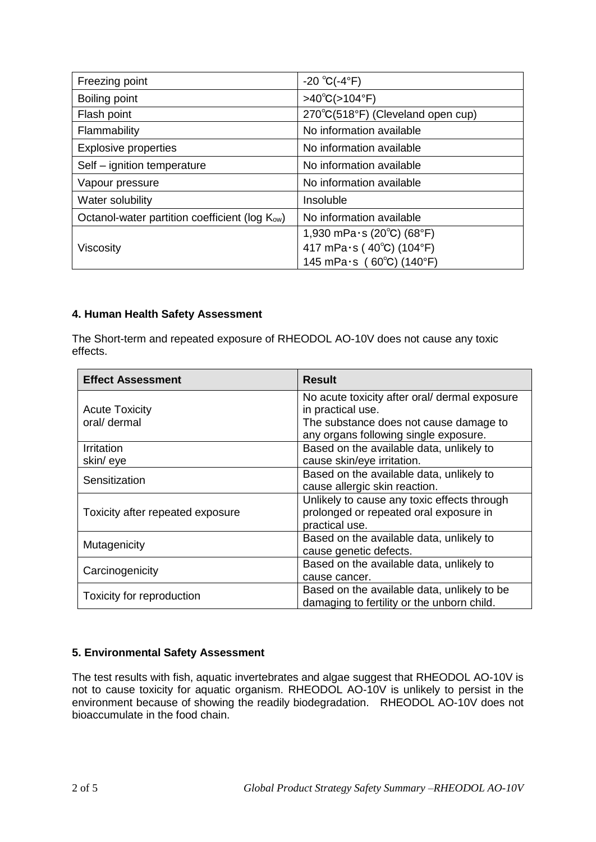| Freezing point                                             | $-20 °C(-4 °F)$                                       |
|------------------------------------------------------------|-------------------------------------------------------|
| Boiling point                                              | $>40^{\circ}C(>104^{\circ}F)$                         |
| Flash point                                                | 270°C(518°F) (Cleveland open cup)                     |
| Flammability                                               | No information available                              |
| <b>Explosive properties</b>                                | No information available                              |
| Self - ignition temperature                                | No information available                              |
| Vapour pressure                                            | No information available                              |
| Water solubility                                           | Insoluble                                             |
| Octanol-water partition coefficient (log K <sub>ow</sub> ) | No information available                              |
| Viscosity                                                  | 1,930 mPa $\cdot$ s (20 $\degree$ C) (68 $\degree$ F) |
|                                                            | 417 mPa $\cdot$ s (40°C) (104°F)                      |
|                                                            | 145 mPa $\cdot$ s (60°C) (140°F)                      |

## **4. Human Health Safety Assessment**

The Short-term and repeated exposure of RHEODOL AO-10V does not cause any toxic effects.

| <b>Effect Assessment</b>         | <b>Result</b>                                 |
|----------------------------------|-----------------------------------------------|
|                                  | No acute toxicity after oral/ dermal exposure |
| <b>Acute Toxicity</b>            | in practical use.                             |
| oral/ dermal                     | The substance does not cause damage to        |
|                                  | any organs following single exposure.         |
| Irritation                       | Based on the available data, unlikely to      |
| skin/eye                         | cause skin/eye irritation.                    |
| Sensitization                    | Based on the available data, unlikely to      |
|                                  | cause allergic skin reaction.                 |
|                                  | Unlikely to cause any toxic effects through   |
| Toxicity after repeated exposure | prolonged or repeated oral exposure in        |
|                                  | practical use.                                |
| Mutagenicity                     | Based on the available data, unlikely to      |
|                                  | cause genetic defects.                        |
| Carcinogenicity                  | Based on the available data, unlikely to      |
|                                  | cause cancer.                                 |
| Toxicity for reproduction        | Based on the available data, unlikely to be   |
|                                  | damaging to fertility or the unborn child.    |

## **5. Environmental Safety Assessment**

The test results with fish, aquatic invertebrates and algae suggest that RHEODOL AO-10V is not to cause toxicity for aquatic organism. RHEODOL AO-10V is unlikely to persist in the environment because of showing the readily biodegradation. RHEODOL AO-10V does not bioaccumulate in the food chain.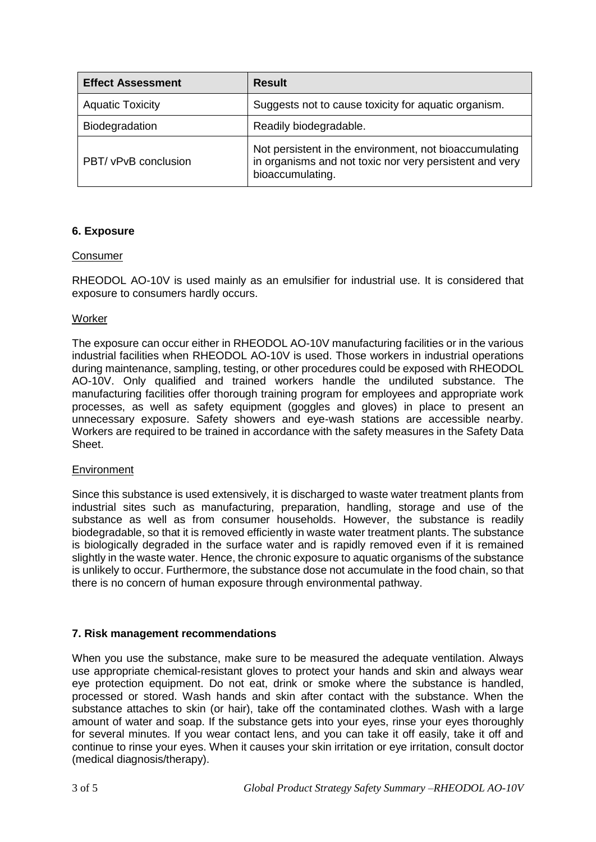| <b>Effect Assessment</b> | <b>Result</b>                                                                                                                         |
|--------------------------|---------------------------------------------------------------------------------------------------------------------------------------|
| <b>Aquatic Toxicity</b>  | Suggests not to cause toxicity for aquatic organism.                                                                                  |
| Biodegradation           | Readily biodegradable.                                                                                                                |
| PBT/ vPvB conclusion     | Not persistent in the environment, not bioaccumulating<br>in organisms and not toxic nor very persistent and very<br>bioaccumulating. |

## **6. Exposure**

## Consumer

RHEODOL AO-10V is used mainly as an emulsifier for industrial use. It is considered that exposure to consumers hardly occurs.

#### **Worker**

The exposure can occur either in RHEODOL AO-10V manufacturing facilities or in the various industrial facilities when RHEODOL AO-10V is used. Those workers in industrial operations during maintenance, sampling, testing, or other procedures could be exposed with RHEODOL AO-10V. Only qualified and trained workers handle the undiluted substance. The manufacturing facilities offer thorough training program for employees and appropriate work processes, as well as safety equipment (goggles and gloves) in place to present an unnecessary exposure. Safety showers and eye-wash stations are accessible nearby. Workers are required to be trained in accordance with the safety measures in the Safety Data Sheet.

#### Environment

Since this substance is used extensively, it is discharged to waste water treatment plants from industrial sites such as manufacturing, preparation, handling, storage and use of the substance as well as from consumer households. However, the substance is readily biodegradable, so that it is removed efficiently in waste water treatment plants. The substance is biologically degraded in the surface water and is rapidly removed even if it is remained slightly in the waste water. Hence, the chronic exposure to aquatic organisms of the substance is unlikely to occur. Furthermore, the substance dose not accumulate in the food chain, so that there is no concern of human exposure through environmental pathway.

## **7. Risk management recommendations**

When you use the substance, make sure to be measured the adequate ventilation. Always use appropriate chemical-resistant gloves to protect your hands and skin and always wear eye protection equipment. Do not eat, drink or smoke where the substance is handled, processed or stored. Wash hands and skin after contact with the substance. When the substance attaches to skin (or hair), take off the contaminated clothes. Wash with a large amount of water and soap. If the substance gets into your eyes, rinse your eyes thoroughly for several minutes. If you wear contact lens, and you can take it off easily, take it off and continue to rinse your eyes. When it causes your skin irritation or eye irritation, consult doctor (medical diagnosis/therapy).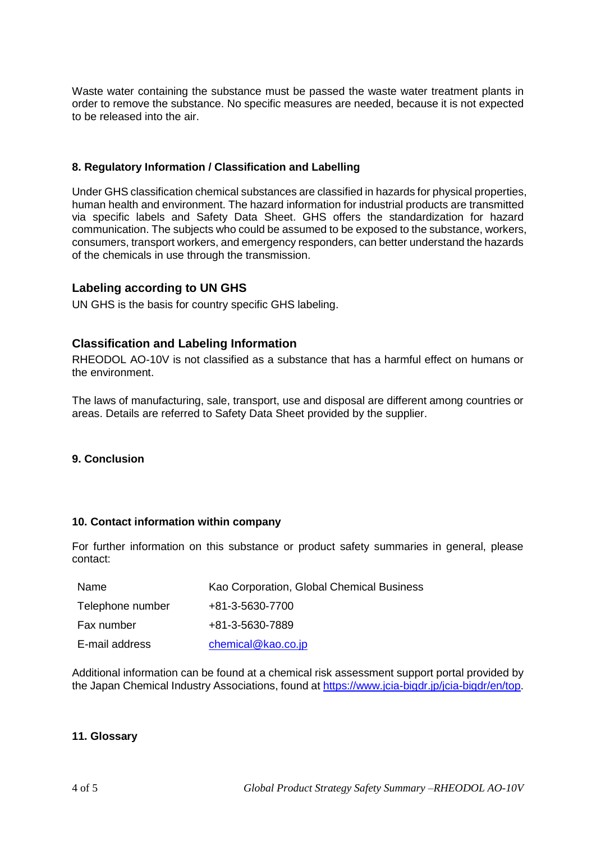Waste water containing the substance must be passed the waste water treatment plants in order to remove the substance. No specific measures are needed, because it is not expected to be released into the air.

## **8. Regulatory Information / Classification and Labelling**

Under GHS classification chemical substances are classified in hazards for physical properties, human health and environment. The hazard information for industrial products are transmitted via specific labels and Safety Data Sheet. GHS offers the standardization for hazard communication. The subjects who could be assumed to be exposed to the substance, workers, consumers, transport workers, and emergency responders, can better understand the hazards of the chemicals in use through the transmission.

## **Labeling according to UN GHS**

UN GHS is the basis for country specific GHS labeling.

## **Classification and Labeling Information**

RHEODOL AO-10V is not classified as a substance that has a harmful effect on humans or the environment.

The laws of manufacturing, sale, transport, use and disposal are different among countries or areas. Details are referred to Safety Data Sheet provided by the supplier.

## **9. Conclusion**

#### **10. Contact information within company**

For further information on this substance or product safety summaries in general, please contact:

| Name             | Kao Corporation, Global Chemical Business |
|------------------|-------------------------------------------|
| Telephone number | +81-3-5630-7700                           |
| Fax number       | +81-3-5630-7889                           |
| E-mail address   | chemical@kao.co.jp                        |

Additional information can be found at a chemical risk assessment support portal provided by the Japan Chemical Industry Associations, found at https://www.jcia-bigdr.jp/jcia-bigdr/en/top.

#### **11. Glossary**